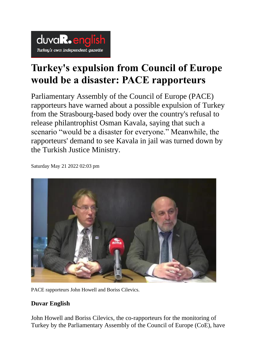

## **Turkey's expulsion from Council of Europe would be a disaster: PACE rapporteurs**

Parliamentary Assembly of the Council of Europe (PACE) rapporteurs have warned about a possible expulsion of Turkey from the Strasbourg-based body over the country's refusal to release philantrophist Osman Kavala, saying that such a scenario "would be a disaster for everyone." Meanwhile, the rapporteurs' demand to see Kavala in jail was turned down by the Turkish Justice Ministry.

Saturday May 21 2022 02:03 pm



PACE rapporteurs John Howell and Boriss Cilevics.

## **Duvar English**

John Howell and Boriss Cilevics, the co-rapporteurs for the monitoring of Turkey by the Parliamentary Assembly of the Council of Europe (CoE), have